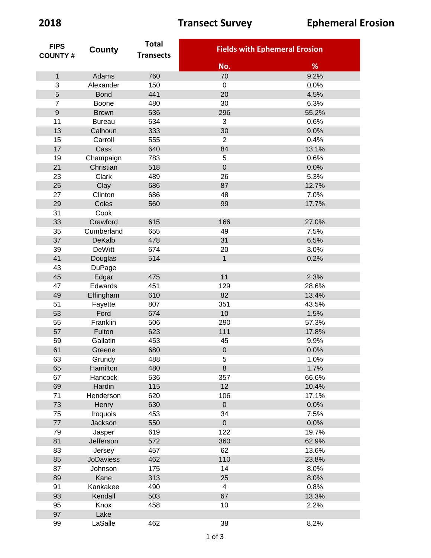| <b>FIPS</b>      | County           | <b>Total</b><br><b>Transects</b> | <b>Fields with Ephemeral Erosion</b> |       |
|------------------|------------------|----------------------------------|--------------------------------------|-------|
| <b>COUNTY#</b>   |                  |                                  |                                      |       |
|                  |                  |                                  | No.                                  | %     |
| $\mathbf{1}$     | Adams            | 760                              | 70                                   | 9.2%  |
| 3                | Alexander        | 150                              | $\mathbf 0$                          | 0.0%  |
| 5                | <b>Bond</b>      | 441                              | 20                                   | 4.5%  |
| $\overline{7}$   | Boone            | 480                              | 30                                   | 6.3%  |
| $\boldsymbol{9}$ | <b>Brown</b>     | 536                              | 296                                  | 55.2% |
| 11               | <b>Bureau</b>    | 534                              | 3                                    | 0.6%  |
| 13               | Calhoun          | 333                              | 30                                   | 9.0%  |
| 15               | Carroll          | 555                              | $\overline{2}$                       | 0.4%  |
| 17               | Cass             | 640                              | 84                                   | 13.1% |
| 19               | Champaign        | 783                              | 5                                    | 0.6%  |
| 21               | Christian        | 518                              | $\mathbf 0$                          | 0.0%  |
| 23               | Clark            | 489                              | 26                                   | 5.3%  |
| 25               | Clay             | 686                              | 87                                   | 12.7% |
| 27               | Clinton          | 686                              | 48                                   | 7.0%  |
| 29               | Coles            | 560                              | 99                                   | 17.7% |
| 31               | Cook             |                                  |                                      |       |
| 33               | Crawford         | 615                              | 166                                  | 27.0% |
| 35               | Cumberland       | 655                              | 49                                   | 7.5%  |
| 37               | DeKalb           | 478                              | 31                                   | 6.5%  |
| 39               | <b>DeWitt</b>    | 674                              | 20                                   | 3.0%  |
| 41               | Douglas          | 514                              | $\mathbf{1}$                         | 0.2%  |
| 43               | <b>DuPage</b>    |                                  |                                      |       |
| 45               | Edgar            | 475                              | 11                                   | 2.3%  |
| 47               | Edwards          | 451                              | 129                                  | 28.6% |
| 49               | Effingham        | 610                              | 82                                   | 13.4% |
| 51               | Fayette          | 807                              | 351                                  | 43.5% |
| 53               | Ford             | 674                              | 10                                   | 1.5%  |
| 55               | Franklin         | 506                              | 290                                  | 57.3% |
| 57               | Fulton           | 623                              | 111                                  | 17.8% |
| 59               | Gallatin         | 453                              | 45                                   | 9.9%  |
| 61               | Greene           | 680                              | $\overline{0}$                       | 0.0%  |
| 63               | Grundy           | 488                              | 5                                    | 1.0%  |
| 65               | Hamilton         | 480                              | 8                                    | 1.7%  |
| 67               | Hancock          | 536                              | 357                                  | 66.6% |
| 69               | Hardin           | 115                              | 12                                   | 10.4% |
| 71               | Henderson        | 620                              | 106                                  | 17.1% |
| 73               | Henry            | 630                              | $\mathsf{O}\xspace$                  | 0.0%  |
| 75               | Iroquois         | 453                              | 34                                   | 7.5%  |
| $77\,$           | Jackson          | 550                              | $\boldsymbol{0}$                     | 0.0%  |
| 79               | Jasper           | 619                              | 122                                  | 19.7% |
| 81               | Jefferson        | 572                              | 360                                  | 62.9% |
| 83               | Jersey           | 457                              | 62                                   | 13.6% |
| 85               | <b>JoDaviess</b> | 462                              | 110                                  | 23.8% |
| 87               | Johnson          | 175                              | 14                                   | 8.0%  |
| 89               | Kane             | 313                              | 25                                   | 8.0%  |
| 91               | Kankakee         | 490                              | $\overline{\mathbf{4}}$              | 0.8%  |
| 93               | Kendall          | 503                              | 67                                   | 13.3% |
| 95               | Knox             | 458                              | 10                                   | 2.2%  |
| 97               | Lake             |                                  |                                      |       |
| 99               | LaSalle          | 462                              | 38                                   | 8.2%  |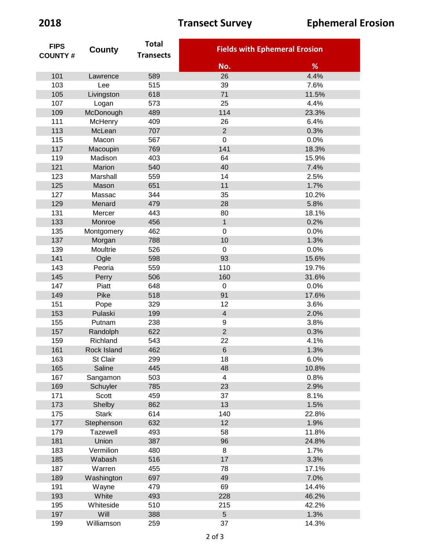| <b>FIPS</b>    | County          | <b>Total</b>     | <b>Fields with Ephemeral Erosion</b> |                |
|----------------|-----------------|------------------|--------------------------------------|----------------|
| <b>COUNTY#</b> |                 | <b>Transects</b> |                                      |                |
|                |                 |                  | No.                                  | %              |
| 101            | Lawrence        | 589              | 26                                   | 4.4%           |
| 103            | Lee             | 515              | 39                                   | 7.6%           |
| 105            | Livingston      | 618              | 71                                   | 11.5%          |
| 107            | Logan           | 573              | 25                                   | 4.4%           |
| 109            | McDonough       | 489              | 114                                  | 23.3%          |
| 111            | McHenry         | 409              | 26                                   | 6.4%           |
| 113            | McLean          | 707              | $\overline{2}$                       | 0.3%           |
| 115            | Macon           | 567              | $\boldsymbol{0}$                     | 0.0%           |
| 117            | Macoupin        | 769              | 141                                  | 18.3%          |
| 119            | Madison         | 403              | 64                                   | 15.9%          |
| 121            | Marion          | 540              | 40                                   | 7.4%           |
| 123            | Marshall        | 559              | 14                                   | 2.5%           |
| 125            | Mason           | 651              | 11                                   | 1.7%           |
| 127            | Massac          | 344              | 35                                   | 10.2%          |
| 129            | Menard          | 479              | 28                                   | 5.8%           |
| 131            | Mercer          | 443              | 80                                   | 18.1%          |
| 133            | Monroe          | 456              | $\mathbf{1}$                         | 0.2%           |
| 135            | Montgomery      | 462              | $\mathbf 0$                          | 0.0%           |
| 137            | Morgan          | 788              | 10                                   | 1.3%           |
| 139            | Moultrie        | 526              | $\boldsymbol{0}$                     | 0.0%           |
| 141            | Ogle            | 598              | 93                                   | 15.6%          |
| 143            | Peoria          | 559              | 110                                  | 19.7%          |
| 145            | Perry           | 506              | 160                                  | 31.6%          |
| 147            | Piatt           | 648              | $\boldsymbol{0}$                     | 0.0%           |
| 149            | Pike            | 518              | 91                                   | 17.6%          |
| 151            | Pope            | 329              | 12                                   | 3.6%           |
| 153            | Pulaski         | 199              | $\overline{4}$                       | 2.0%           |
| 155            | Putnam          | 238              | 9                                    | 3.8%           |
| 157            | Randolph        | 622              | $\overline{2}$                       | 0.3%           |
| 159            | Richland        | 543              | 22                                   | 4.1%           |
| 161            | Rock Island     | 462              | $6\phantom{1}$                       | 1.3%           |
| 163            | St Clair        | 299              | 18                                   | 6.0%           |
| 165            | Saline          | 445              | 48                                   | 10.8%          |
| 167            | Sangamon        | 503              | $\overline{\mathbf{4}}$              | 0.8%           |
| 169            | Schuyler        | 785              | 23                                   | 2.9%           |
| 171            | Scott           | 459              | 37                                   | 8.1%           |
| 173            | Shelby          | 862              | 13                                   | 1.5%           |
| 175            | <b>Stark</b>    | 614              | 140                                  | 22.8%          |
| 177            | Stephenson      | 632              | 12                                   | 1.9%           |
| 179            | <b>Tazewell</b> | 493              | 58                                   | 11.8%          |
| 181            | Union           | 387              | 96                                   | 24.8%          |
| 183            | Vermilion       | 480              | 8                                    | 1.7%           |
| 185            | Wabash          | 516              | 17                                   | 3.3%           |
| 187            | Warren          |                  | 78                                   | 17.1%          |
|                |                 | 455              |                                      | 7.0%           |
| 189<br>191     | Washington      | 697<br>479       | 49<br>69                             | 14.4%          |
|                | Wayne<br>White  | 493              | 228                                  |                |
| 193<br>195     | Whiteside       | 510              | 215                                  | 46.2%<br>42.2% |
|                |                 |                  | 5                                    |                |
| 197            | Will            | 388              |                                      | 1.3%           |
| 199            | Williamson      | 259              | 37                                   | 14.3%          |